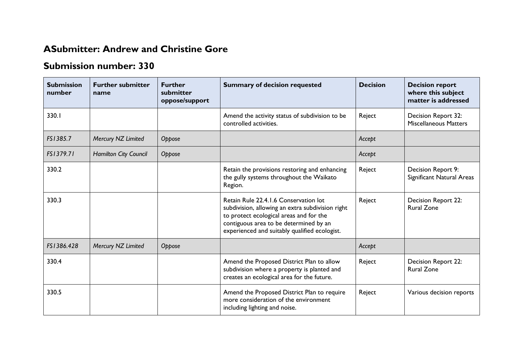## **ASubmitter: Andrew and Christine Gore**

## **Submission number: 330**

| <b>Submission</b><br>number | <b>Further submitter</b><br>name | <b>Further</b><br>submitter<br>oppose/support | <b>Summary of decision requested</b>                                                                                                                                                                                            | <b>Decision</b> | <b>Decision report</b><br>where this subject<br>matter is addressed |
|-----------------------------|----------------------------------|-----------------------------------------------|---------------------------------------------------------------------------------------------------------------------------------------------------------------------------------------------------------------------------------|-----------------|---------------------------------------------------------------------|
| 330.I                       |                                  |                                               | Amend the activity status of subdivision to be<br>controlled activities.                                                                                                                                                        | Reject          | Decision Report 32:<br><b>Miscellaneous Matters</b>                 |
| FS1385.7                    | Mercury NZ Limited               | Oppose                                        |                                                                                                                                                                                                                                 | Accept          |                                                                     |
| FS1379.71                   | Hamilton City Council            | Oppose                                        |                                                                                                                                                                                                                                 | Accept          |                                                                     |
| 330.2                       |                                  |                                               | Retain the provisions restoring and enhancing<br>the gully systems throughout the Waikato<br>Region.                                                                                                                            | Reject          | Decision Report 9:<br>Significant Natural Areas                     |
| 330.3                       |                                  |                                               | Retain Rule 22.4.1.6 Conservation lot<br>subdivision, allowing an extra subdivision right<br>to protect ecological areas and for the<br>contiguous area to be determined by an<br>experienced and suitably qualified ecologist. | Reject          | Decision Report 22:<br><b>Rural Zone</b>                            |
| FS1386.428                  | Mercury NZ Limited               | Oppose                                        |                                                                                                                                                                                                                                 | Accept          |                                                                     |
| 330.4                       |                                  |                                               | Amend the Proposed District Plan to allow<br>subdivision where a property is planted and<br>creates an ecological area for the future.                                                                                          | Reject          | Decision Report 22:<br><b>Rural Zone</b>                            |
| 330.5                       |                                  |                                               | Amend the Proposed District Plan to require<br>more consideration of the environment<br>including lighting and noise.                                                                                                           | Reject          | Various decision reports                                            |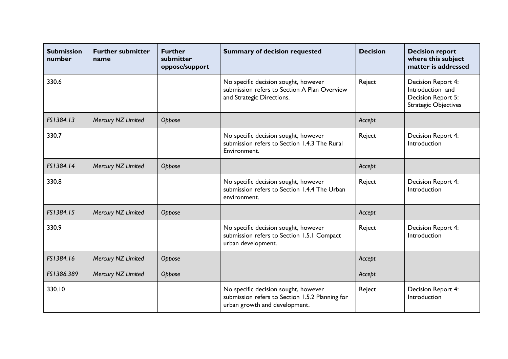| <b>Submission</b><br>number | <b>Further submitter</b><br>name | <b>Further</b><br>submitter<br>oppose/support | <b>Summary of decision requested</b>                                                                                     | <b>Decision</b> | <b>Decision report</b><br>where this subject<br>matter is addressed                         |
|-----------------------------|----------------------------------|-----------------------------------------------|--------------------------------------------------------------------------------------------------------------------------|-----------------|---------------------------------------------------------------------------------------------|
| 330.6                       |                                  |                                               | No specific decision sought, however<br>submission refers to Section A Plan Overview<br>and Strategic Directions.        | Reject          | Decision Report 4:<br>Introduction and<br>Decision Report 5:<br><b>Strategic Objectives</b> |
| FS1384.13                   | Mercury NZ Limited               | Oppose                                        |                                                                                                                          | Accept          |                                                                                             |
| 330.7                       |                                  |                                               | No specific decision sought, however<br>submission refers to Section 1.4.3 The Rural<br>Environment.                     | Reject          | Decision Report 4:<br>Introduction                                                          |
| FS1384.14                   | Mercury NZ Limited               | Oppose                                        |                                                                                                                          | Accept          |                                                                                             |
| 330.8                       |                                  |                                               | No specific decision sought, however<br>submission refers to Section 1.4.4 The Urban<br>environment.                     | Reject          | Decision Report 4:<br>Introduction                                                          |
| FS1384.15                   | Mercury NZ Limited               | Oppose                                        |                                                                                                                          | Accept          |                                                                                             |
| 330.9                       |                                  |                                               | No specific decision sought, however<br>submission refers to Section 1.5.1 Compact<br>urban development.                 | Reject          | Decision Report 4:<br>Introduction                                                          |
| FS1384.16                   | Mercury NZ Limited               | Oppose                                        |                                                                                                                          | Accept          |                                                                                             |
| FS1386.389                  | Mercury NZ Limited               | Oppose                                        |                                                                                                                          | Accept          |                                                                                             |
| 330.10                      |                                  |                                               | No specific decision sought, however<br>submission refers to Section 1.5.2 Planning for<br>urban growth and development. | Reject          | Decision Report 4:<br>Introduction                                                          |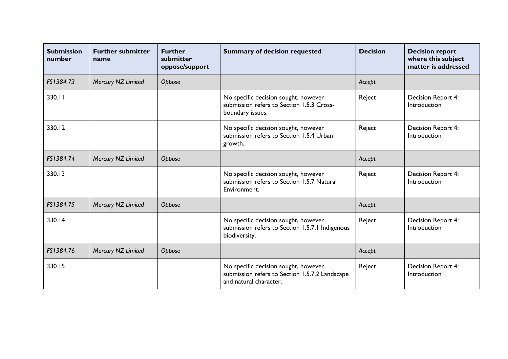| <b>Submission</b><br>number | <b>Further submitter</b><br>name | <b>Further</b><br>submitter<br>oppose/support | <b>Summary of decision requested</b>                                                                             | <b>Decision</b> | <b>Decision report</b><br>where this subject<br>matter is addressed |
|-----------------------------|----------------------------------|-----------------------------------------------|------------------------------------------------------------------------------------------------------------------|-----------------|---------------------------------------------------------------------|
| FS1384.73                   | Mercury NZ Limited               | Oppose                                        |                                                                                                                  | Accept          |                                                                     |
| 330.11                      |                                  |                                               | No specific decision sought, however<br>submission refers to Section 1.5.3 Cross-<br>boundary issues.            | Reject          | Decision Report 4:<br>Introduction                                  |
| 330.12                      |                                  |                                               | No specific decision sought, however<br>submission refers to Section 1.5.4 Urban<br>growth.                      | Reject          | Decision Report 4:<br>Introduction                                  |
| FS1384.74                   | Mercury NZ Limited               | Oppose                                        |                                                                                                                  | Accept          |                                                                     |
| 330.13                      |                                  |                                               | No specific decision sought, however<br>submission refers to Section 1.5.7 Natural<br>Environment.               | Reject          | Decision Report 4:<br>Introduction                                  |
| FS1384.75                   | Mercury NZ Limited               | Oppose                                        |                                                                                                                  | Accept          |                                                                     |
| 330.14                      |                                  |                                               | No specific decision sought, however<br>submission refers to Section 1.5.7.1 Indigenous<br>biodiversity.         | Reject          | Decision Report 4:<br>Introduction                                  |
| FS1384.76                   | Mercury NZ Limited               | Oppose                                        |                                                                                                                  | Accept          |                                                                     |
| 330.15                      |                                  |                                               | No specific decision sought, however<br>submission refers to Section 1.5.7.2 Landscape<br>and natural character. | Reject          | Decision Report 4:<br>Introduction                                  |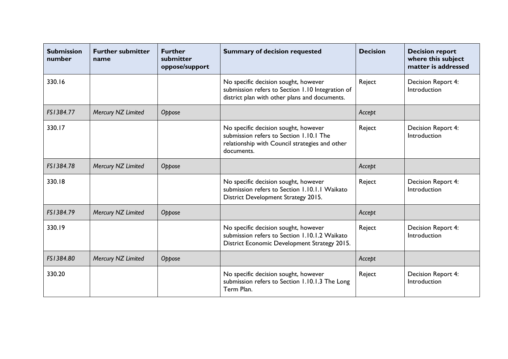| <b>Submission</b><br>number | <b>Further submitter</b><br>name | <b>Further</b><br>submitter<br>oppose/support | <b>Summary of decision requested</b>                                                                                                            | <b>Decision</b> | <b>Decision report</b><br>where this subject<br>matter is addressed |
|-----------------------------|----------------------------------|-----------------------------------------------|-------------------------------------------------------------------------------------------------------------------------------------------------|-----------------|---------------------------------------------------------------------|
| 330.16                      |                                  |                                               | No specific decision sought, however<br>submission refers to Section 1.10 Integration of<br>district plan with other plans and documents.       | Reject          | Decision Report 4:<br>Introduction                                  |
| FS1384.77                   | Mercury NZ Limited               | Oppose                                        |                                                                                                                                                 | Accept          |                                                                     |
| 330.17                      |                                  |                                               | No specific decision sought, however<br>submission refers to Section 1.10.1 The<br>relationship with Council strategies and other<br>documents. | Reject          | Decision Report 4:<br>Introduction                                  |
| FS1384.78                   | Mercury NZ Limited               | Oppose                                        |                                                                                                                                                 | Accept          |                                                                     |
| 330.18                      |                                  |                                               | No specific decision sought, however<br>submission refers to Section 1.10.1.1 Waikato<br>District Development Strategy 2015.                    | Reject          | Decision Report 4:<br>Introduction                                  |
| FS1384.79                   | Mercury NZ Limited               | Oppose                                        |                                                                                                                                                 | Accept          |                                                                     |
| 330.19                      |                                  |                                               | No specific decision sought, however<br>submission refers to Section 1.10.1.2 Waikato<br>District Economic Development Strategy 2015.           | Reject          | Decision Report 4:<br>Introduction                                  |
| FS1384.80                   | Mercury NZ Limited               | Oppose                                        |                                                                                                                                                 | Accept          |                                                                     |
| 330.20                      |                                  |                                               | No specific decision sought, however<br>submission refers to Section 1.10.1.3 The Long<br>Term Plan.                                            | Reject          | Decision Report 4:<br>Introduction                                  |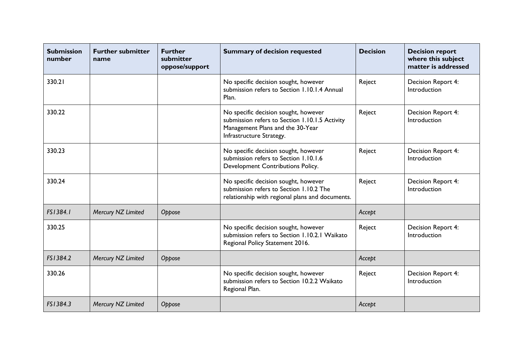| <b>Submission</b><br>number | <b>Further submitter</b><br>name | <b>Further</b><br>submitter<br>oppose/support | <b>Summary of decision requested</b>                                                                                                                   | <b>Decision</b> | <b>Decision report</b><br>where this subject<br>matter is addressed |
|-----------------------------|----------------------------------|-----------------------------------------------|--------------------------------------------------------------------------------------------------------------------------------------------------------|-----------------|---------------------------------------------------------------------|
| 330.21                      |                                  |                                               | No specific decision sought, however<br>submission refers to Section 1.10.1.4 Annual<br>Plan.                                                          | Reject          | Decision Report 4:<br>Introduction                                  |
| 330.22                      |                                  |                                               | No specific decision sought, however<br>submission refers to Section 1.10.1.5 Activity<br>Management Plans and the 30-Year<br>Infrastructure Strategy. | Reject          | Decision Report 4:<br>Introduction                                  |
| 330.23                      |                                  |                                               | No specific decision sought, however<br>submission refers to Section 1.10.1.6<br>Development Contributions Policy.                                     | Reject          | Decision Report 4:<br>Introduction                                  |
| 330.24                      |                                  |                                               | No specific decision sought, however<br>submission refers to Section 1.10.2 The<br>relationship with regional plans and documents.                     | Reject          | Decision Report 4:<br>Introduction                                  |
| FS1384.1                    | Mercury NZ Limited               | Oppose                                        |                                                                                                                                                        | Accept          |                                                                     |
| 330.25                      |                                  |                                               | No specific decision sought, however<br>submission refers to Section 1.10.2.1 Waikato<br>Regional Policy Statement 2016.                               | Reject          | Decision Report 4:<br>Introduction                                  |
| FS1384.2                    | Mercury NZ Limited               | Oppose                                        |                                                                                                                                                        | Accept          |                                                                     |
| 330.26                      |                                  |                                               | No specific decision sought, however<br>submission refers to Section 10.2.2 Waikato<br>Regional Plan.                                                  | Reject          | Decision Report 4:<br>Introduction                                  |
| FS1384.3                    | Mercury NZ Limited               | Oppose                                        |                                                                                                                                                        | Accept          |                                                                     |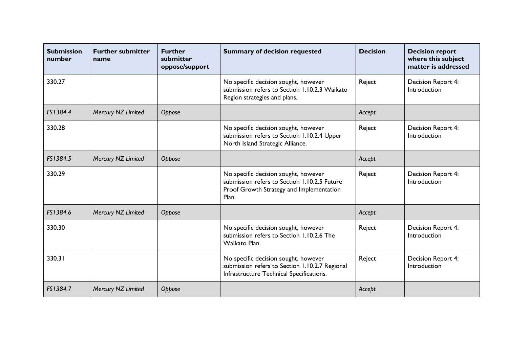| <b>Submission</b><br>number | <b>Further submitter</b><br>name | <b>Further</b><br>submitter<br>oppose/support | <b>Summary of decision requested</b>                                                                                                      | <b>Decision</b> | <b>Decision report</b><br>where this subject<br>matter is addressed |
|-----------------------------|----------------------------------|-----------------------------------------------|-------------------------------------------------------------------------------------------------------------------------------------------|-----------------|---------------------------------------------------------------------|
| 330.27                      |                                  |                                               | No specific decision sought, however<br>submission refers to Section 1.10.2.3 Waikato<br>Region strategies and plans.                     | Reject          | Decision Report 4:<br>Introduction                                  |
| FS1384.4                    | Mercury NZ Limited               | Oppose                                        |                                                                                                                                           | Accept          |                                                                     |
| 330.28                      |                                  |                                               | No specific decision sought, however<br>submission refers to Section 1.10.2.4 Upper<br>North Island Strategic Alliance.                   | Reject          | Decision Report 4:<br>Introduction                                  |
| FS1384.5                    | Mercury NZ Limited               | Oppose                                        |                                                                                                                                           | Accept          |                                                                     |
| 330.29                      |                                  |                                               | No specific decision sought, however<br>submission refers to Section 1.10.2.5 Future<br>Proof Growth Strategy and Implementation<br>Plan. | Reject          | Decision Report 4:<br>Introduction                                  |
| FS1384.6                    | Mercury NZ Limited               | Oppose                                        |                                                                                                                                           | Accept          |                                                                     |
| 330.30                      |                                  |                                               | No specific decision sought, however<br>submission refers to Section 1.10.2.6 The<br>Waikato Plan.                                        | Reject          | Decision Report 4:<br>Introduction                                  |
| 330.31                      |                                  |                                               | No specific decision sought, however<br>submission refers to Section 1.10.2.7 Regional<br>Infrastructure Technical Specifications.        | Reject          | Decision Report 4:<br>Introduction                                  |
| FS1384.7                    | Mercury NZ Limited               | Oppose                                        |                                                                                                                                           | Accept          |                                                                     |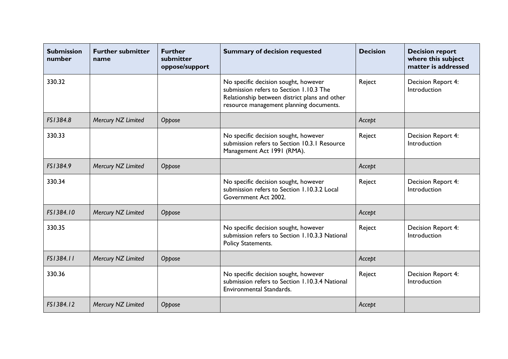| <b>Submission</b><br>number | <b>Further submitter</b><br>name | <b>Further</b><br>submitter<br>oppose/support | <b>Summary of decision requested</b>                                                                                                                                        | <b>Decision</b> | <b>Decision report</b><br>where this subject<br>matter is addressed |
|-----------------------------|----------------------------------|-----------------------------------------------|-----------------------------------------------------------------------------------------------------------------------------------------------------------------------------|-----------------|---------------------------------------------------------------------|
| 330.32                      |                                  |                                               | No specific decision sought, however<br>submission refers to Section 1.10.3 The<br>Relationship between district plans and other<br>resource management planning documents. | Reject          | Decision Report 4:<br>Introduction                                  |
| FS1384.8                    | Mercury NZ Limited               | Oppose                                        |                                                                                                                                                                             | Accept          |                                                                     |
| 330.33                      |                                  |                                               | No specific decision sought, however<br>submission refers to Section 10.3.1 Resource<br>Management Act 1991 (RMA).                                                          | Reject          | Decision Report 4:<br>Introduction                                  |
| FS1384.9                    | Mercury NZ Limited               | Oppose                                        |                                                                                                                                                                             | Accept          |                                                                     |
| 330.34                      |                                  |                                               | No specific decision sought, however<br>submission refers to Section 1.10.3.2 Local<br>Government Act 2002.                                                                 | Reject          | Decision Report 4:<br>Introduction                                  |
| FS1384.10                   | Mercury NZ Limited               | Oppose                                        |                                                                                                                                                                             | Accept          |                                                                     |
| 330.35                      |                                  |                                               | No specific decision sought, however<br>submission refers to Section 1.10.3.3 National<br>Policy Statements.                                                                | Reject          | Decision Report 4:<br>Introduction                                  |
| FS1384.11                   | Mercury NZ Limited               | Oppose                                        |                                                                                                                                                                             | Accept          |                                                                     |
| 330.36                      |                                  |                                               | No specific decision sought, however<br>submission refers to Section 1.10.3.4 National<br><b>Environmental Standards.</b>                                                   | Reject          | Decision Report 4:<br>Introduction                                  |
| FS1384.12                   | Mercury NZ Limited               | Oppose                                        |                                                                                                                                                                             | Accept          |                                                                     |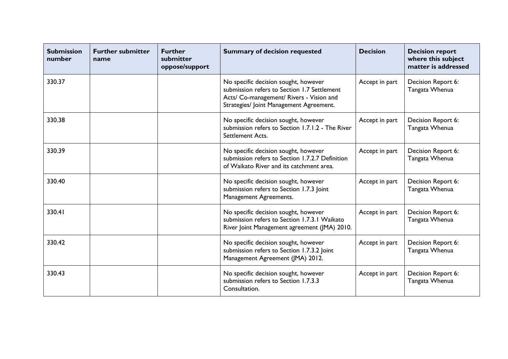| <b>Submission</b><br>number | <b>Further submitter</b><br>name | <b>Further</b><br>submitter<br>oppose/support | <b>Summary of decision requested</b>                                                                                                                                       | <b>Decision</b> | <b>Decision report</b><br>where this subject<br>matter is addressed |
|-----------------------------|----------------------------------|-----------------------------------------------|----------------------------------------------------------------------------------------------------------------------------------------------------------------------------|-----------------|---------------------------------------------------------------------|
| 330.37                      |                                  |                                               | No specific decision sought, however<br>submission refers to Section 1.7 Settlement<br>Acts/ Co-management/ Rivers - Vision and<br>Strategies/ Joint Management Agreement. | Accept in part  | Decision Report 6:<br>Tangata Whenua                                |
| 330.38                      |                                  |                                               | No specific decision sought, however<br>submission refers to Section 1.7.1.2 - The River<br>Settlement Acts.                                                               | Accept in part  | Decision Report 6:<br>Tangata Whenua                                |
| 330.39                      |                                  |                                               | No specific decision sought, however<br>submission refers to Section 1.7.2.7 Definition<br>of Waikato River and its catchment area.                                        | Accept in part  | Decision Report 6:<br>Tangata Whenua                                |
| 330.40                      |                                  |                                               | No specific decision sought, however<br>submission refers to Section 1.7.3 Joint<br>Management Agreements.                                                                 | Accept in part  | Decision Report 6:<br>Tangata Whenua                                |
| 330.41                      |                                  |                                               | No specific decision sought, however<br>submission refers to Section 1.7.3.1 Waikato<br>River Joint Management agreement (JMA) 2010.                                       | Accept in part  | Decision Report 6:<br>Tangata Whenua                                |
| 330.42                      |                                  |                                               | No specific decision sought, however<br>submission refers to Section 1.7.3.2 Joint<br>Management Agreement (JMA) 2012.                                                     | Accept in part  | Decision Report 6:<br>Tangata Whenua                                |
| 330.43                      |                                  |                                               | No specific decision sought, however<br>submission refers to Section 1.7.3.3<br>Consultation.                                                                              | Accept in part  | Decision Report 6:<br>Tangata Whenua                                |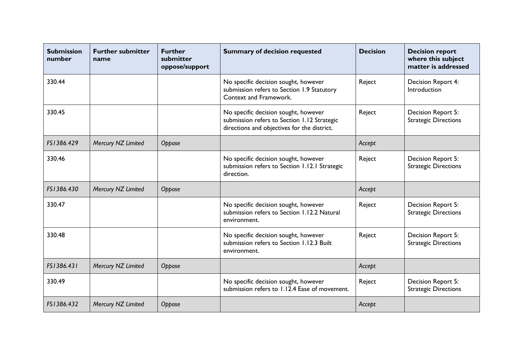| <b>Submission</b><br>number | <b>Further submitter</b><br>name | <b>Further</b><br>submitter<br>oppose/support | <b>Summary of decision requested</b>                                                                                               | <b>Decision</b> | <b>Decision report</b><br>where this subject<br>matter is addressed |
|-----------------------------|----------------------------------|-----------------------------------------------|------------------------------------------------------------------------------------------------------------------------------------|-----------------|---------------------------------------------------------------------|
| 330.44                      |                                  |                                               | No specific decision sought, however<br>submission refers to Section 1.9 Statutory<br>Context and Framework.                       | Reject          | Decision Report 4:<br>Introduction                                  |
| 330.45                      |                                  |                                               | No specific decision sought, however<br>submission refers to Section 1.12 Strategic<br>directions and objectives for the district. | Reject          | Decision Report 5:<br><b>Strategic Directions</b>                   |
| FS1386.429                  | Mercury NZ Limited               | Oppose                                        |                                                                                                                                    | Accept          |                                                                     |
| 330.46                      |                                  |                                               | No specific decision sought, however<br>submission refers to Section 1.12.1 Strategic<br>direction.                                | Reject          | Decision Report 5:<br><b>Strategic Directions</b>                   |
| FS1386.430                  | Mercury NZ Limited               | Oppose                                        |                                                                                                                                    | Accept          |                                                                     |
| 330.47                      |                                  |                                               | No specific decision sought, however<br>submission refers to Section 1.12.2 Natural<br>environment.                                | Reject          | Decision Report 5:<br><b>Strategic Directions</b>                   |
| 330.48                      |                                  |                                               | No specific decision sought, however<br>submission refers to Section 1.12.3 Built<br>environment.                                  | Reject          | Decision Report 5:<br><b>Strategic Directions</b>                   |
| FS1386.431                  | Mercury NZ Limited               | Oppose                                        |                                                                                                                                    | Accept          |                                                                     |
| 330.49                      |                                  |                                               | No specific decision sought, however<br>submission refers to 1.12.4 Ease of movement.                                              | Reject          | Decision Report 5:<br><b>Strategic Directions</b>                   |
| FS1386.432                  | Mercury NZ Limited               | Oppose                                        |                                                                                                                                    | Accept          |                                                                     |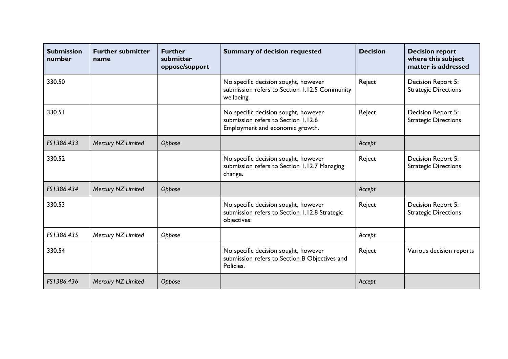| <b>Submission</b><br>number | <b>Further submitter</b><br>name | <b>Further</b><br>submitter<br>oppose/support | <b>Summary of decision requested</b>                                                                           | <b>Decision</b> | <b>Decision report</b><br>where this subject<br>matter is addressed |
|-----------------------------|----------------------------------|-----------------------------------------------|----------------------------------------------------------------------------------------------------------------|-----------------|---------------------------------------------------------------------|
| 330.50                      |                                  |                                               | No specific decision sought, however<br>submission refers to Section 1.12.5 Community<br>wellbeing.            | Reject          | Decision Report 5:<br><b>Strategic Directions</b>                   |
| 330.51                      |                                  |                                               | No specific decision sought, however<br>submission refers to Section 1.12.6<br>Employment and economic growth. | Reject          | Decision Report 5:<br><b>Strategic Directions</b>                   |
| FS1386.433                  | Mercury NZ Limited               | Oppose                                        |                                                                                                                | Accept          |                                                                     |
| 330.52                      |                                  |                                               | No specific decision sought, however<br>submission refers to Section 1.12.7 Managing<br>change.                | Reject          | Decision Report 5:<br><b>Strategic Directions</b>                   |
| FS1386.434                  | Mercury NZ Limited               | Oppose                                        |                                                                                                                | Accept          |                                                                     |
| 330.53                      |                                  |                                               | No specific decision sought, however<br>submission refers to Section 1.12.8 Strategic<br>objectives.           | Reject          | Decision Report 5:<br><b>Strategic Directions</b>                   |
| FS1386.435                  | Mercury NZ Limited               | Oppose                                        |                                                                                                                | Accept          |                                                                     |
| 330.54                      |                                  |                                               | No specific decision sought, however<br>submission refers to Section B Objectives and<br>Policies.             | Reject          | Various decision reports                                            |
| FS1386.436                  | Mercury NZ Limited               | Oppose                                        |                                                                                                                | Accept          |                                                                     |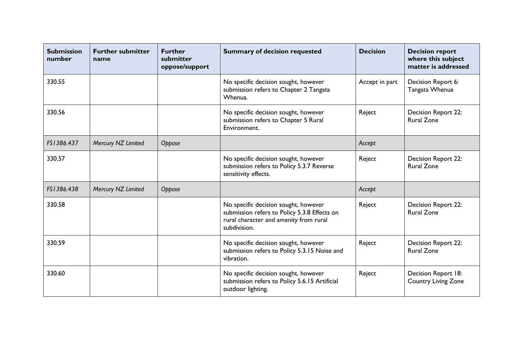| <b>Submission</b><br>number | <b>Further submitter</b><br>name | <b>Further</b><br>submitter<br>oppose/support | <b>Summary of decision requested</b>                                                                                                           | <b>Decision</b> | <b>Decision report</b><br>where this subject<br>matter is addressed |
|-----------------------------|----------------------------------|-----------------------------------------------|------------------------------------------------------------------------------------------------------------------------------------------------|-----------------|---------------------------------------------------------------------|
| 330.55                      |                                  |                                               | No specific decision sought, however<br>submission refers to Chapter 2 Tangata<br>Whenua.                                                      | Accept in part  | Decision Report 6:<br>Tangata Whenua                                |
| 330.56                      |                                  |                                               | No specific decision sought, however<br>submission refers to Chapter 5 Rural<br>Environment.                                                   | Reject          | <b>Decision Report 22:</b><br><b>Rural Zone</b>                     |
| FS1386.437                  | Mercury NZ Limited               | Oppose                                        |                                                                                                                                                | Accept          |                                                                     |
| 330.57                      |                                  |                                               | No specific decision sought, however<br>submission refers to Policy 5.3.7 Reverse<br>sensitivity effects.                                      | Reject          | Decision Report 22:<br><b>Rural Zone</b>                            |
| FS1386.438                  | Mercury NZ Limited               | Oppose                                        |                                                                                                                                                | Accept          |                                                                     |
| 330.58                      |                                  |                                               | No specific decision sought, however<br>submission refers to Policy 5.3.8 Effects on<br>rural character and amenity from rural<br>subdivision. | Reject          | Decision Report 22:<br><b>Rural Zone</b>                            |
| 330.59                      |                                  |                                               | No specific decision sought, however<br>submission refers to Policy 5.3.15 Noise and<br>vibration.                                             | Reject          | Decision Report 22:<br><b>Rural Zone</b>                            |
| 330.60                      |                                  |                                               | No specific decision sought, however<br>submission refers to Policy 5.6.15 Artificial<br>outdoor lighting.                                     | Reject          | Decision Report 18:<br><b>Country Living Zone</b>                   |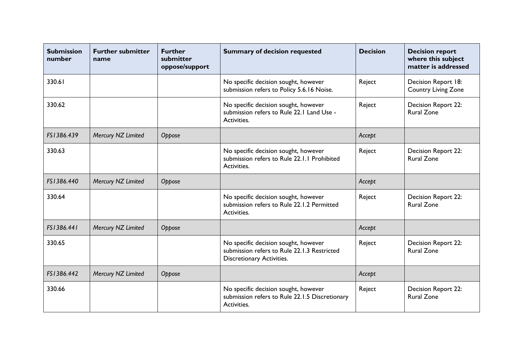| <b>Submission</b><br>number | <b>Further submitter</b><br>name | <b>Further</b><br>submitter<br>oppose/support | <b>Summary of decision requested</b>                                                                             | <b>Decision</b> | <b>Decision report</b><br>where this subject<br>matter is addressed |
|-----------------------------|----------------------------------|-----------------------------------------------|------------------------------------------------------------------------------------------------------------------|-----------------|---------------------------------------------------------------------|
| 330.61                      |                                  |                                               | No specific decision sought, however<br>submission refers to Policy 5.6.16 Noise.                                | Reject          | Decision Report 18:<br><b>Country Living Zone</b>                   |
| 330.62                      |                                  |                                               | No specific decision sought, however<br>submission refers to Rule 22.1 Land Use -<br>Activities.                 | Reject          | Decision Report 22:<br><b>Rural Zone</b>                            |
| FS1386.439                  | Mercury NZ Limited               | Oppose                                        |                                                                                                                  | Accept          |                                                                     |
| 330.63                      |                                  |                                               | No specific decision sought, however<br>submission refers to Rule 22.1.1 Prohibited<br>Activities.               | Reject          | Decision Report 22:<br><b>Rural Zone</b>                            |
| FS1386.440                  | Mercury NZ Limited               | Oppose                                        |                                                                                                                  | Accept          |                                                                     |
| 330.64                      |                                  |                                               | No specific decision sought, however<br>submission refers to Rule 22.1.2 Permitted<br>Activities.                | Reject          | Decision Report 22:<br><b>Rural Zone</b>                            |
| FS1386.441                  | Mercury NZ Limited               | Oppose                                        |                                                                                                                  | Accept          |                                                                     |
| 330.65                      |                                  |                                               | No specific decision sought, however<br>submission refers to Rule 22.1.3 Restricted<br>Discretionary Activities. | Reject          | Decision Report 22:<br><b>Rural Zone</b>                            |
| FS1386.442                  | Mercury NZ Limited               | Oppose                                        |                                                                                                                  | Accept          |                                                                     |
| 330.66                      |                                  |                                               | No specific decision sought, however<br>submission refers to Rule 22.1.5 Discretionary<br>Activities.            | Reject          | <b>Decision Report 22:</b><br><b>Rural Zone</b>                     |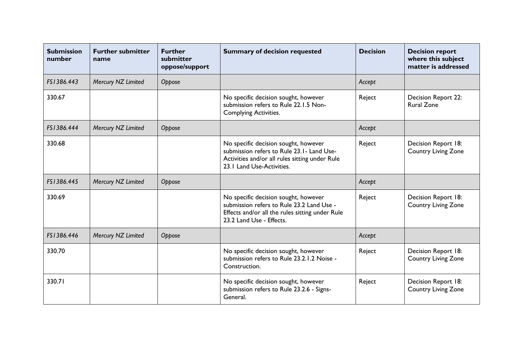| <b>Submission</b><br>number | <b>Further submitter</b><br>name | <b>Further</b><br>submitter<br>oppose/support | <b>Summary of decision requested</b>                                                                                                                             | <b>Decision</b> | <b>Decision report</b><br>where this subject<br>matter is addressed |
|-----------------------------|----------------------------------|-----------------------------------------------|------------------------------------------------------------------------------------------------------------------------------------------------------------------|-----------------|---------------------------------------------------------------------|
| FS1386.443                  | Mercury NZ Limited               | Oppose                                        |                                                                                                                                                                  | Accept          |                                                                     |
| 330.67                      |                                  |                                               | No specific decision sought, however<br>submission refers to Rule 22.1.5 Non-<br><b>Complying Activities.</b>                                                    | Reject          | Decision Report 22:<br><b>Rural Zone</b>                            |
| FS1386.444                  | Mercury NZ Limited               | Oppose                                        |                                                                                                                                                                  | Accept          |                                                                     |
| 330.68                      |                                  |                                               | No specific decision sought, however<br>submission refers to Rule 23.1- Land Use-<br>Activities and/or all rules sitting under Rule<br>23.1 Land Use-Activities. | Reject          | Decision Report 18:<br><b>Country Living Zone</b>                   |
| FS1386.445                  | Mercury NZ Limited               | Oppose                                        |                                                                                                                                                                  | Accept          |                                                                     |
| 330.69                      |                                  |                                               | No specific decision sought, however<br>submission refers to Rule 23.2 Land Use -<br>Effects and/or all the rules sitting under Rule<br>23.2 Land Use - Effects. | Reject          | Decision Report 18:<br><b>Country Living Zone</b>                   |
| FS1386.446                  | Mercury NZ Limited               | Oppose                                        |                                                                                                                                                                  | Accept          |                                                                     |
| 330.70                      |                                  |                                               | No specific decision sought, however<br>submission refers to Rule 23.2.1.2 Noise -<br>Construction.                                                              | Reject          | Decision Report 18:<br><b>Country Living Zone</b>                   |
| 330.71                      |                                  |                                               | No specific decision sought, however<br>submission refers to Rule 23.2.6 - Signs-<br>General.                                                                    | Reject          | Decision Report 18:<br><b>Country Living Zone</b>                   |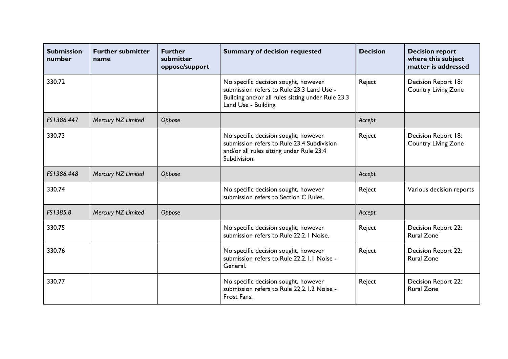| <b>Submission</b><br>number | <b>Further submitter</b><br>name | <b>Further</b><br>submitter<br>oppose/support | <b>Summary of decision requested</b>                                                                                                                           | <b>Decision</b> | <b>Decision report</b><br>where this subject<br>matter is addressed |
|-----------------------------|----------------------------------|-----------------------------------------------|----------------------------------------------------------------------------------------------------------------------------------------------------------------|-----------------|---------------------------------------------------------------------|
| 330.72                      |                                  |                                               | No specific decision sought, however<br>submission refers to Rule 23.3 Land Use -<br>Building and/or all rules sitting under Rule 23.3<br>Land Use - Building. | Reject          | Decision Report 18:<br><b>Country Living Zone</b>                   |
| FS1386.447                  | Mercury NZ Limited               | Oppose                                        |                                                                                                                                                                | Accept          |                                                                     |
| 330.73                      |                                  |                                               | No specific decision sought, however<br>submission refers to Rule 23.4 Subdivision<br>and/or all rules sitting under Rule 23.4<br>Subdivision.                 | Reject          | Decision Report 18:<br><b>Country Living Zone</b>                   |
| FS1386.448                  | Mercury NZ Limited               | Oppose                                        |                                                                                                                                                                | Accept          |                                                                     |
| 330.74                      |                                  |                                               | No specific decision sought, however<br>submission refers to Section C Rules.                                                                                  | Reject          | Various decision reports                                            |
| FS1385.8                    | Mercury NZ Limited               | Oppose                                        |                                                                                                                                                                | Accept          |                                                                     |
| 330.75                      |                                  |                                               | No specific decision sought, however<br>submission refers to Rule 22.2.1 Noise.                                                                                | Reject          | Decision Report 22:<br><b>Rural Zone</b>                            |
| 330.76                      |                                  |                                               | No specific decision sought, however<br>submission refers to Rule 22.2.1.1 Noise -<br>General.                                                                 | Reject          | Decision Report 22:<br><b>Rural Zone</b>                            |
| 330.77                      |                                  |                                               | No specific decision sought, however<br>submission refers to Rule 22.2.1.2 Noise -<br>Frost Fans.                                                              | Reject          | <b>Decision Report 22:</b><br><b>Rural Zone</b>                     |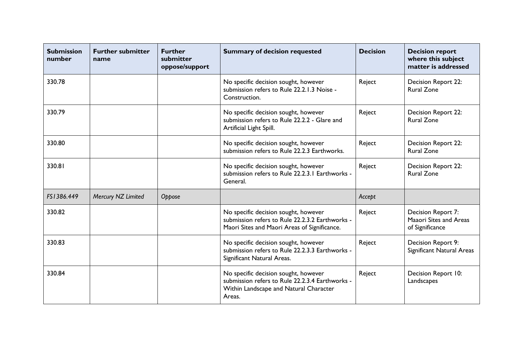| <b>Submission</b><br>number | <b>Further submitter</b><br>name | <b>Further</b><br>submitter<br>oppose/support | <b>Summary of decision requested</b>                                                                                                        | <b>Decision</b> | <b>Decision report</b><br>where this subject<br>matter is addressed |
|-----------------------------|----------------------------------|-----------------------------------------------|---------------------------------------------------------------------------------------------------------------------------------------------|-----------------|---------------------------------------------------------------------|
| 330.78                      |                                  |                                               | No specific decision sought, however<br>submission refers to Rule 22.2.1.3 Noise -<br>Construction.                                         | Reject          | Decision Report 22:<br><b>Rural Zone</b>                            |
| 330.79                      |                                  |                                               | No specific decision sought, however<br>submission refers to Rule 22.2.2 - Glare and<br>Artificial Light Spill.                             | Reject          | Decision Report 22:<br><b>Rural Zone</b>                            |
| 330.80                      |                                  |                                               | No specific decision sought, however<br>submission refers to Rule 22.2.3 Earthworks.                                                        | Reject          | <b>Decision Report 22:</b><br><b>Rural Zone</b>                     |
| 330.81                      |                                  |                                               | No specific decision sought, however<br>submission refers to Rule 22.2.3.1 Earthworks -<br>General.                                         | Reject          | Decision Report 22:<br><b>Rural Zone</b>                            |
| FS1386.449                  | Mercury NZ Limited               | Oppose                                        |                                                                                                                                             | Accept          |                                                                     |
| 330.82                      |                                  |                                               | No specific decision sought, however<br>submission refers to Rule 22.2.3.2 Earthworks -<br>Maori Sites and Maori Areas of Significance.     | Reject          | Decision Report 7:<br>Maaori Sites and Areas<br>of Significance     |
| 330.83                      |                                  |                                               | No specific decision sought, however<br>submission refers to Rule 22.2.3.3 Earthworks -<br>Significant Natural Areas.                       | Reject          | Decision Report 9:<br>Significant Natural Areas                     |
| 330.84                      |                                  |                                               | No specific decision sought, however<br>submission refers to Rule 22.2.3.4 Earthworks -<br>Within Landscape and Natural Character<br>Areas. | Reject          | Decision Report 10:<br>Landscapes                                   |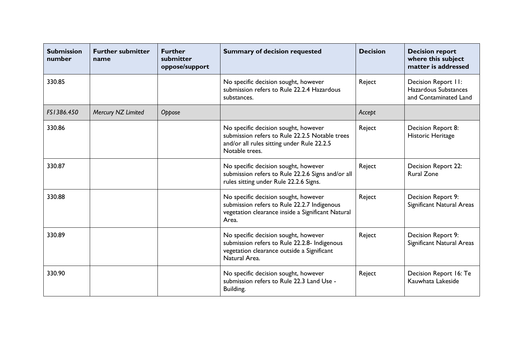| <b>Submission</b><br>number | <b>Further submitter</b><br>name | <b>Further</b><br>submitter<br>oppose/support | <b>Summary of decision requested</b>                                                                                                                   | <b>Decision</b> | <b>Decision report</b><br>where this subject<br>matter is addressed  |
|-----------------------------|----------------------------------|-----------------------------------------------|--------------------------------------------------------------------------------------------------------------------------------------------------------|-----------------|----------------------------------------------------------------------|
| 330.85                      |                                  |                                               | No specific decision sought, however<br>submission refers to Rule 22.2.4 Hazardous<br>substances.                                                      | Reject          | Decision Report II:<br>Hazardous Substances<br>and Contaminated Land |
| FS1386.450                  | Mercury NZ Limited               | Oppose                                        |                                                                                                                                                        | Accept          |                                                                      |
| 330.86                      |                                  |                                               | No specific decision sought, however<br>submission refers to Rule 22.2.5 Notable trees<br>and/or all rules sitting under Rule 22.2.5<br>Notable trees. | Reject          | Decision Report 8:<br>Historic Heritage                              |
| 330.87                      |                                  |                                               | No specific decision sought, however<br>submission refers to Rule 22.2.6 Signs and/or all<br>rules sitting under Rule 22.2.6 Signs.                    | Reject          | Decision Report 22:<br><b>Rural Zone</b>                             |
| 330.88                      |                                  |                                               | No specific decision sought, however<br>submission refers to Rule 22.2.7 Indigenous<br>vegetation clearance inside a Significant Natural<br>Area.      | Reject          | Decision Report 9:<br>Significant Natural Areas                      |
| 330.89                      |                                  |                                               | No specific decision sought, however<br>submission refers to Rule 22.2.8- Indigenous<br>vegetation clearance outside a Significant<br>Natural Area.    | Reject          | Decision Report 9:<br>Significant Natural Areas                      |
| 330.90                      |                                  |                                               | No specific decision sought, however<br>submission refers to Rule 22.3 Land Use -<br>Building.                                                         | Reject          | Decision Report 16: Te<br>Kauwhata Lakeside                          |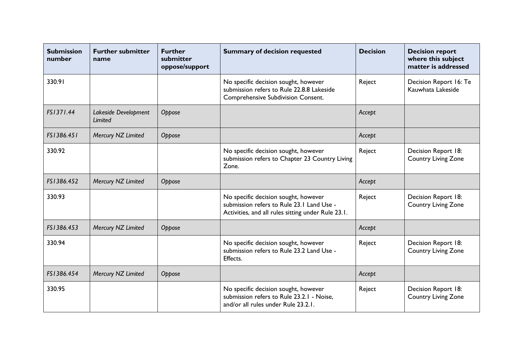| <b>Submission</b><br>number | <b>Further submitter</b><br>name | <b>Further</b><br>submitter<br>oppose/support | <b>Summary of decision requested</b>                                                                                                    | <b>Decision</b> | <b>Decision report</b><br>where this subject<br>matter is addressed |
|-----------------------------|----------------------------------|-----------------------------------------------|-----------------------------------------------------------------------------------------------------------------------------------------|-----------------|---------------------------------------------------------------------|
| 330.91                      |                                  |                                               | No specific decision sought, however<br>submission refers to Rule 22.8.8 Lakeside<br><b>Comprehensive Subdivision Consent.</b>          | Reject          | Decision Report 16: Te<br>Kauwhata Lakeside                         |
| FS1371.44                   | Lakeside Development<br>Limited  | Oppose                                        |                                                                                                                                         | Accept          |                                                                     |
| FS1386.451                  | Mercury NZ Limited               | Oppose                                        |                                                                                                                                         | Accept          |                                                                     |
| 330.92                      |                                  |                                               | No specific decision sought, however<br>submission refers to Chapter 23 Country Living<br>Zone.                                         | Reject          | Decision Report 18:<br><b>Country Living Zone</b>                   |
| FS1386.452                  | Mercury NZ Limited               | Oppose                                        |                                                                                                                                         | Accept          |                                                                     |
| 330.93                      |                                  |                                               | No specific decision sought, however<br>submission refers to Rule 23.1 Land Use -<br>Activities, and all rules sitting under Rule 23.1. | Reject          | Decision Report 18:<br><b>Country Living Zone</b>                   |
| FS1386.453                  | Mercury NZ Limited               | Oppose                                        |                                                                                                                                         | Accept          |                                                                     |
| 330.94                      |                                  |                                               | No specific decision sought, however<br>submission refers to Rule 23.2 Land Use -<br>Effects.                                           | Reject          | Decision Report 18:<br><b>Country Living Zone</b>                   |
| FS1386.454                  | Mercury NZ Limited               | Oppose                                        |                                                                                                                                         | Accept          |                                                                     |
| 330.95                      |                                  |                                               | No specific decision sought, however<br>submission refers to Rule 23.2.1 - Noise,<br>and/or all rules under Rule 23.2.1.                | Reject          | Decision Report 18:<br><b>Country Living Zone</b>                   |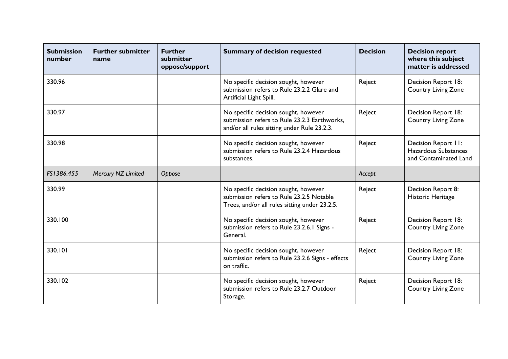| <b>Submission</b><br>number | <b>Further submitter</b><br>name | <b>Further</b><br>submitter<br>oppose/support | <b>Summary of decision requested</b>                                                                                                | <b>Decision</b> | <b>Decision report</b><br>where this subject<br>matter is addressed  |
|-----------------------------|----------------------------------|-----------------------------------------------|-------------------------------------------------------------------------------------------------------------------------------------|-----------------|----------------------------------------------------------------------|
| 330.96                      |                                  |                                               | No specific decision sought, however<br>submission refers to Rule 23.2.2 Glare and<br>Artificial Light Spill.                       | Reject          | Decision Report 18:<br><b>Country Living Zone</b>                    |
| 330.97                      |                                  |                                               | No specific decision sought, however<br>submission refers to Rule 23.2.3 Earthworks,<br>and/or all rules sitting under Rule 23.2.3. | Reject          | Decision Report 18:<br><b>Country Living Zone</b>                    |
| 330.98                      |                                  |                                               | No specific decision sought, however<br>submission refers to Rule 23.2.4 Hazardous<br>substances.                                   | Reject          | Decision Report II:<br>Hazardous Substances<br>and Contaminated Land |
| FS1386.455                  | Mercury NZ Limited               | Oppose                                        |                                                                                                                                     | Accept          |                                                                      |
| 330.99                      |                                  |                                               | No specific decision sought, however<br>submission refers to Rule 23.2.5 Notable<br>Trees, and/or all rules sitting under 23.2.5.   | Reject          | Decision Report 8:<br>Historic Heritage                              |
| 330.100                     |                                  |                                               | No specific decision sought, however<br>submission refers to Rule 23.2.6.1 Signs -<br>General.                                      | Reject          | Decision Report 18:<br><b>Country Living Zone</b>                    |
| 330.101                     |                                  |                                               | No specific decision sought, however<br>submission refers to Rule 23.2.6 Signs - effects<br>on traffic.                             | Reject          | Decision Report 18:<br><b>Country Living Zone</b>                    |
| 330.102                     |                                  |                                               | No specific decision sought, however<br>submission refers to Rule 23.2.7 Outdoor<br>Storage.                                        | Reject          | Decision Report 18:<br><b>Country Living Zone</b>                    |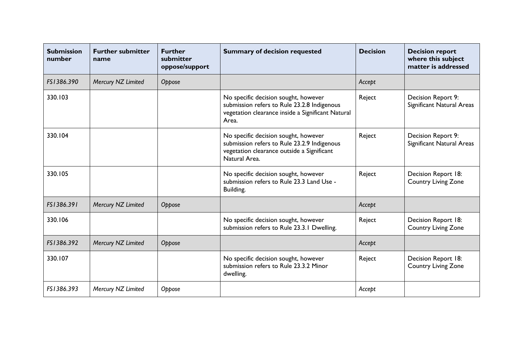| <b>Submission</b><br>number | <b>Further submitter</b><br>name | <b>Further</b><br>submitter<br>oppose/support | <b>Summary of decision requested</b>                                                                                                               | <b>Decision</b> | <b>Decision report</b><br>where this subject<br>matter is addressed |
|-----------------------------|----------------------------------|-----------------------------------------------|----------------------------------------------------------------------------------------------------------------------------------------------------|-----------------|---------------------------------------------------------------------|
| FS1386.390                  | Mercury NZ Limited               | Oppose                                        |                                                                                                                                                    | Accept          |                                                                     |
| 330.103                     |                                  |                                               | No specific decision sought, however<br>submission refers to Rule 23.2.8 Indigenous<br>vegetation clearance inside a Significant Natural<br>Area.  | Reject          | Decision Report 9:<br>Significant Natural Areas                     |
| 330.104                     |                                  |                                               | No specific decision sought, however<br>submission refers to Rule 23.2.9 Indigenous<br>vegetation clearance outside a Significant<br>Natural Area. | Reject          | Decision Report 9:<br>Significant Natural Areas                     |
| 330.105                     |                                  |                                               | No specific decision sought, however<br>submission refers to Rule 23.3 Land Use -<br>Building.                                                     | Reject          | Decision Report 18:<br><b>Country Living Zone</b>                   |
| FS1386.391                  | Mercury NZ Limited               | Oppose                                        |                                                                                                                                                    | Accept          |                                                                     |
| 330.106                     |                                  |                                               | No specific decision sought, however<br>submission refers to Rule 23.3.1 Dwelling.                                                                 | Reject          | Decision Report 18:<br><b>Country Living Zone</b>                   |
| FS1386.392                  | Mercury NZ Limited               | Oppose                                        |                                                                                                                                                    | Accept          |                                                                     |
| 330.107                     |                                  |                                               | No specific decision sought, however<br>submission refers to Rule 23.3.2 Minor<br>dwelling.                                                        | Reject          | Decision Report 18:<br><b>Country Living Zone</b>                   |
| FS1386.393                  | Mercury NZ Limited               | Oppose                                        |                                                                                                                                                    | Accept          |                                                                     |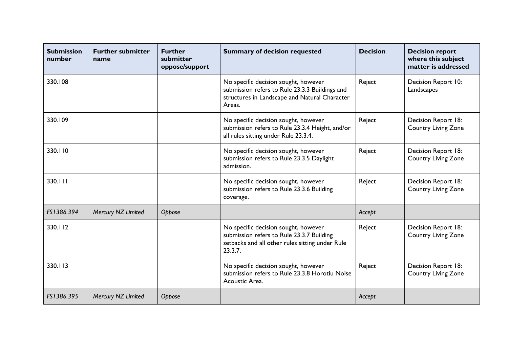| <b>Submission</b><br>number | <b>Further submitter</b><br>name | <b>Further</b><br>submitter<br>oppose/support | <b>Summary of decision requested</b>                                                                                                              | <b>Decision</b> | <b>Decision report</b><br>where this subject<br>matter is addressed |
|-----------------------------|----------------------------------|-----------------------------------------------|---------------------------------------------------------------------------------------------------------------------------------------------------|-----------------|---------------------------------------------------------------------|
| 330.108                     |                                  |                                               | No specific decision sought, however<br>submission refers to Rule 23.3.3 Buildings and<br>structures in Landscape and Natural Character<br>Areas. | Reject          | Decision Report 10:<br>Landscapes                                   |
| 330.109                     |                                  |                                               | No specific decision sought, however<br>submission refers to Rule 23.3.4 Height, and/or<br>all rules sitting under Rule 23.3.4.                   | Reject          | Decision Report 18:<br><b>Country Living Zone</b>                   |
| 330.110                     |                                  |                                               | No specific decision sought, however<br>submission refers to Rule 23.3.5 Daylight<br>admission.                                                   | Reject          | Decision Report 18:<br><b>Country Living Zone</b>                   |
| 330.111                     |                                  |                                               | No specific decision sought, however<br>submission refers to Rule 23.3.6 Building<br>coverage.                                                    | Reject          | Decision Report 18:<br><b>Country Living Zone</b>                   |
| FS1386.394                  | Mercury NZ Limited               | Oppose                                        |                                                                                                                                                   | Accept          |                                                                     |
| 330.112                     |                                  |                                               | No specific decision sought, however<br>submission refers to Rule 23.3.7 Building<br>setbacks and all other rules sitting under Rule<br>23.3.7.   | Reject          | Decision Report 18:<br><b>Country Living Zone</b>                   |
| 330.113                     |                                  |                                               | No specific decision sought, however<br>submission refers to Rule 23.3.8 Horotiu Noise<br>Acoustic Area.                                          | Reject          | Decision Report 18:<br><b>Country Living Zone</b>                   |
| FS1386.395                  | Mercury NZ Limited               | Oppose                                        |                                                                                                                                                   | Accept          |                                                                     |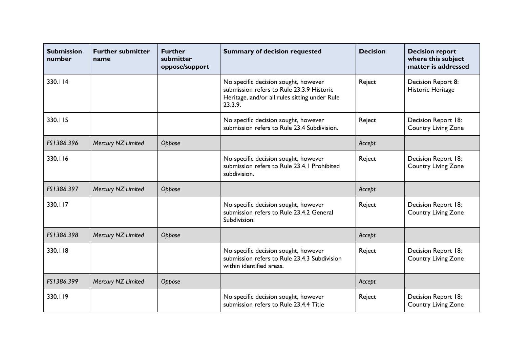| <b>Submission</b><br>number | <b>Further submitter</b><br>name | <b>Further</b><br>submitter<br>oppose/support | <b>Summary of decision requested</b>                                                                                                          | <b>Decision</b> | <b>Decision report</b><br>where this subject<br>matter is addressed |
|-----------------------------|----------------------------------|-----------------------------------------------|-----------------------------------------------------------------------------------------------------------------------------------------------|-----------------|---------------------------------------------------------------------|
| 330.114                     |                                  |                                               | No specific decision sought, however<br>submission refers to Rule 23.3.9 Historic<br>Heritage, and/or all rules sitting under Rule<br>23.3.9. | Reject          | Decision Report 8:<br>Historic Heritage                             |
| 330.115                     |                                  |                                               | No specific decision sought, however<br>submission refers to Rule 23.4 Subdivision.                                                           | Reject          | Decision Report 18:<br><b>Country Living Zone</b>                   |
| FS1386.396                  | Mercury NZ Limited               | Oppose                                        |                                                                                                                                               | Accept          |                                                                     |
| 330.116                     |                                  |                                               | No specific decision sought, however<br>submission refers to Rule 23.4.1 Prohibited<br>subdivision.                                           | Reject          | Decision Report 18:<br><b>Country Living Zone</b>                   |
| FS1386.397                  | Mercury NZ Limited               | Oppose                                        |                                                                                                                                               | Accept          |                                                                     |
| 330.117                     |                                  |                                               | No specific decision sought, however<br>submission refers to Rule 23.4.2 General<br>Subdivision.                                              | Reject          | Decision Report 18:<br><b>Country Living Zone</b>                   |
| FS1386.398                  | Mercury NZ Limited               | Oppose                                        |                                                                                                                                               | Accept          |                                                                     |
| 330.118                     |                                  |                                               | No specific decision sought, however<br>submission refers to Rule 23.4.3 Subdivision<br>within identified areas.                              | Reject          | Decision Report 18:<br><b>Country Living Zone</b>                   |
| FS1386.399                  | Mercury NZ Limited               | Oppose                                        |                                                                                                                                               | Accept          |                                                                     |
| 330.119                     |                                  |                                               | No specific decision sought, however<br>submission refers to Rule 23.4.4 Title                                                                | Reject          | Decision Report 18:<br><b>Country Living Zone</b>                   |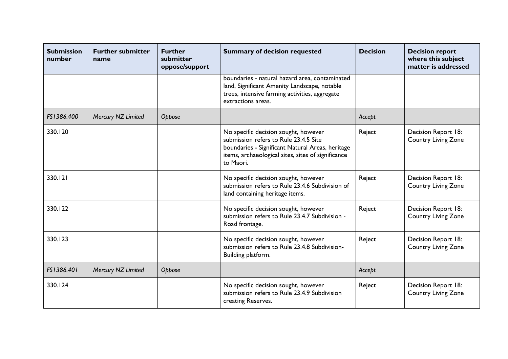| <b>Submission</b><br>number | <b>Further submitter</b><br>name | <b>Further</b><br>submitter<br>oppose/support | <b>Summary of decision requested</b>                                                                                                                                                                 | <b>Decision</b> | <b>Decision report</b><br>where this subject<br>matter is addressed |
|-----------------------------|----------------------------------|-----------------------------------------------|------------------------------------------------------------------------------------------------------------------------------------------------------------------------------------------------------|-----------------|---------------------------------------------------------------------|
|                             |                                  |                                               | boundaries - natural hazard area, contaminated<br>land, Significant Amenity Landscape, notable<br>trees, intensive farming activities, aggregate<br>extractions areas.                               |                 |                                                                     |
| FS1386.400                  | Mercury NZ Limited               | Oppose                                        |                                                                                                                                                                                                      | Accept          |                                                                     |
| 330.120                     |                                  |                                               | No specific decision sought, however<br>submission refers to Rule 23.4.5 Site<br>boundaries - Significant Natural Areas, heritage<br>items, archaeological sites, sites of significance<br>to Maori. | Reject          | Decision Report 18:<br><b>Country Living Zone</b>                   |
| 330.121                     |                                  |                                               | No specific decision sought, however<br>submission refers to Rule 23.4.6 Subdivision of<br>land containing heritage items.                                                                           | Reject          | Decision Report 18:<br><b>Country Living Zone</b>                   |
| 330.122                     |                                  |                                               | No specific decision sought, however<br>submission refers to Rule 23.4.7 Subdivision -<br>Road frontage.                                                                                             | Reject          | Decision Report 18:<br><b>Country Living Zone</b>                   |
| 330.123                     |                                  |                                               | No specific decision sought, however<br>submission refers to Rule 23.4.8 Subdivision-<br>Building platform.                                                                                          | Reject          | Decision Report 18:<br><b>Country Living Zone</b>                   |
| FS1386.401                  | Mercury NZ Limited               | Oppose                                        |                                                                                                                                                                                                      | Accept          |                                                                     |
| 330.124                     |                                  |                                               | No specific decision sought, however<br>submission refers to Rule 23.4.9 Subdivision<br>creating Reserves.                                                                                           | Reject          | Decision Report 18:<br><b>Country Living Zone</b>                   |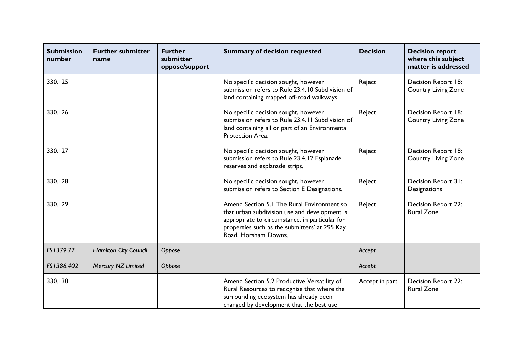| <b>Submission</b><br>number | <b>Further submitter</b><br>name | <b>Further</b><br>submitter<br>oppose/support | <b>Summary of decision requested</b>                                                                                                                                                                                   | <b>Decision</b> | <b>Decision report</b><br>where this subject<br>matter is addressed |
|-----------------------------|----------------------------------|-----------------------------------------------|------------------------------------------------------------------------------------------------------------------------------------------------------------------------------------------------------------------------|-----------------|---------------------------------------------------------------------|
| 330.125                     |                                  |                                               | No specific decision sought, however<br>submission refers to Rule 23.4.10 Subdivision of<br>land containing mapped off-road walkways.                                                                                  | Reject          | Decision Report 18:<br><b>Country Living Zone</b>                   |
| 330.126                     |                                  |                                               | No specific decision sought, however<br>submission refers to Rule 23.4.11 Subdivision of<br>land containing all or part of an Environmental<br>Protection Area.                                                        | Reject          | Decision Report 18:<br><b>Country Living Zone</b>                   |
| 330.127                     |                                  |                                               | No specific decision sought, however<br>submission refers to Rule 23.4.12 Esplanade<br>reserves and esplanade strips.                                                                                                  | Reject          | Decision Report 18:<br><b>Country Living Zone</b>                   |
| 330.128                     |                                  |                                               | No specific decision sought, however<br>submission refers to Section E Designations.                                                                                                                                   | Reject          | Decision Report 31:<br>Designations                                 |
| 330.129                     |                                  |                                               | Amend Section 5.1 The Rural Environment so<br>that urban subdivision use and development is<br>appropriate to circumstance, in particular for<br>properties such as the submitters' at 295 Kay<br>Road, Horsham Downs. | Reject          | Decision Report 22:<br><b>Rural Zone</b>                            |
| FS1379.72                   | Hamilton City Council            | Oppose                                        |                                                                                                                                                                                                                        | Accept          |                                                                     |
| FS1386.402                  | Mercury NZ Limited               | Oppose                                        |                                                                                                                                                                                                                        | Accept          |                                                                     |
| 330.130                     |                                  |                                               | Amend Section 5.2 Productive Versatility of<br>Rural Resources to recognise that where the<br>surrounding ecosystem has already been<br>changed by development that the best use                                       | Accept in part  | Decision Report 22:<br><b>Rural Zone</b>                            |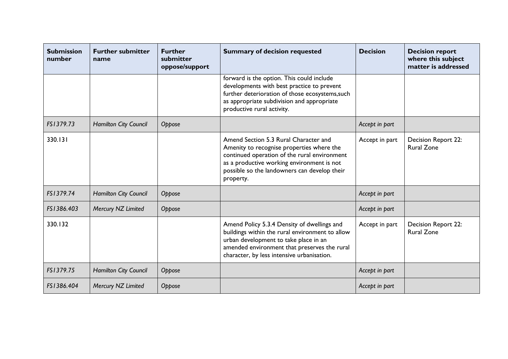| <b>Submission</b><br>number | <b>Further submitter</b><br>name | <b>Further</b><br>submitter<br>oppose/support | <b>Summary of decision requested</b>                                                                                                                                                                                                          | <b>Decision</b> | <b>Decision report</b><br>where this subject<br>matter is addressed |
|-----------------------------|----------------------------------|-----------------------------------------------|-----------------------------------------------------------------------------------------------------------------------------------------------------------------------------------------------------------------------------------------------|-----------------|---------------------------------------------------------------------|
|                             |                                  |                                               | forward is the option. This could include<br>developments with best practice to prevent<br>further deterioration of those ecosystems, such<br>as appropriate subdivision and appropriate<br>productive rural activity.                        |                 |                                                                     |
| FS1379.73                   | Hamilton City Council            | Oppose                                        |                                                                                                                                                                                                                                               | Accept in part  |                                                                     |
| 330.131                     |                                  |                                               | Amend Section 5.3 Rural Character and<br>Amenity to recognise properties where the<br>continued operation of the rural environment<br>as a productive working environment is not<br>possible so the landowners can develop their<br>property. | Accept in part  | <b>Decision Report 22:</b><br><b>Rural Zone</b>                     |
| FS1379.74                   | <b>Hamilton City Council</b>     | Oppose                                        |                                                                                                                                                                                                                                               | Accept in part  |                                                                     |
| FS1386.403                  | Mercury NZ Limited               | Oppose                                        |                                                                                                                                                                                                                                               | Accept in part  |                                                                     |
| 330.132                     |                                  |                                               | Amend Policy 5.3.4 Density of dwellings and<br>buildings within the rural environment to allow<br>urban development to take place in an<br>amended environment that preserves the rural<br>character, by less intensive urbanisation.         | Accept in part  | Decision Report 22:<br><b>Rural Zone</b>                            |
| FS1379.75                   | <b>Hamilton City Council</b>     | Oppose                                        |                                                                                                                                                                                                                                               | Accept in part  |                                                                     |
| FS1386.404                  | Mercury NZ Limited               | Oppose                                        |                                                                                                                                                                                                                                               | Accept in part  |                                                                     |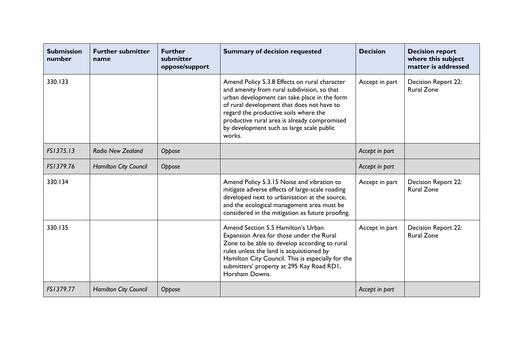| <b>Submission</b><br>number | <b>Further submitter</b><br>name | <b>Further</b><br>submitter<br>oppose/support | <b>Summary of decision requested</b>                                                                                                                                                                                                                                                                                                       | <b>Decision</b> | <b>Decision report</b><br>where this subject<br>matter is addressed |
|-----------------------------|----------------------------------|-----------------------------------------------|--------------------------------------------------------------------------------------------------------------------------------------------------------------------------------------------------------------------------------------------------------------------------------------------------------------------------------------------|-----------------|---------------------------------------------------------------------|
| 330.133                     |                                  |                                               | Amend Policy 5.3.8 Effects on rural character<br>and amenity from rural subdivision, so that<br>urban development can take place in the form<br>of rural development that does not have to<br>regard the productive soils where the<br>productive rural area is already compromised<br>by development such as large scale public<br>works. | Accept in part  | Decision Report 22:<br><b>Rural Zone</b>                            |
| FS1375.13                   | <b>Radio New Zealand</b>         | Oppose                                        |                                                                                                                                                                                                                                                                                                                                            | Accept in part  |                                                                     |
| FS1379.76                   | <b>Hamilton City Council</b>     | Oppose                                        |                                                                                                                                                                                                                                                                                                                                            | Accept in part  |                                                                     |
| 330.134                     |                                  |                                               | Amend Policy 5.3.15 Noise and vibration to<br>mitigate adverse effects of large-scale roading<br>developed next to urbanisation at the source,<br>and the ecological management area must be<br>considered in the mitigation as future proofing.                                                                                           | Accept in part  | Decision Report 22:<br><b>Rural Zone</b>                            |
| 330.135                     |                                  |                                               | Amend Section 5.5 Hamilton's Urban<br>Expansion Area for those under the Rural<br>Zone to be able to develop according to rural<br>rules unless the land is acquisitioned by<br>Hamilton City Council. This is especially for the<br>submitters' property at 295 Kay Road RDI,<br>Horsham Downs.                                           | Accept in part  | Decision Report 22:<br><b>Rural Zone</b>                            |
| FS1379.77                   | <b>Hamilton City Council</b>     | Oppose                                        |                                                                                                                                                                                                                                                                                                                                            | Accept in part  |                                                                     |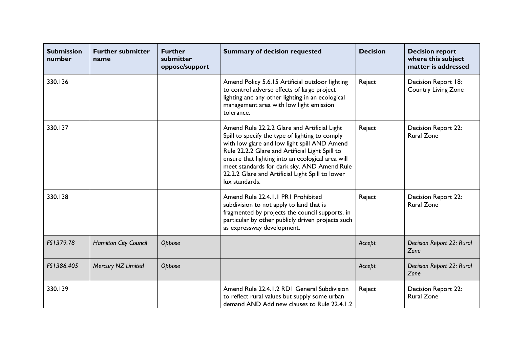| <b>Submission</b><br>number | <b>Further submitter</b><br>name | <b>Further</b><br>submitter<br>oppose/support | <b>Summary of decision requested</b>                                                                                                                                                                                                                                                                                                                                         | <b>Decision</b> | <b>Decision report</b><br>where this subject<br>matter is addressed |
|-----------------------------|----------------------------------|-----------------------------------------------|------------------------------------------------------------------------------------------------------------------------------------------------------------------------------------------------------------------------------------------------------------------------------------------------------------------------------------------------------------------------------|-----------------|---------------------------------------------------------------------|
| 330.136                     |                                  |                                               | Amend Policy 5.6.15 Artificial outdoor lighting<br>to control adverse effects of large project<br>lighting and any other lighting in an ecological<br>management area with low light emission<br>tolerance.                                                                                                                                                                  | Reject          | Decision Report 18:<br><b>Country Living Zone</b>                   |
| 330.137                     |                                  |                                               | Amend Rule 22.2.2 Glare and Artificial Light<br>Spill to specify the type of lighting to comply<br>with low glare and low light spill AND Amend<br>Rule 22.2.2 Glare and Artificial Light Spill to<br>ensure that lighting into an ecological area will<br>meet standards for dark sky. AND Amend Rule<br>22.2.2 Glare and Artificial Light Spill to lower<br>lux standards. | Reject          | Decision Report 22:<br><b>Rural Zone</b>                            |
| 330.138                     |                                  |                                               | Amend Rule 22.4.1.1 PR1 Prohibited<br>subdivision to not apply to land that is<br>fragmented by projects the council supports, in<br>particular by other publicly driven projects such<br>as expressway development.                                                                                                                                                         | Reject          | <b>Decision Report 22:</b><br><b>Rural Zone</b>                     |
| FS1379.78                   | Hamilton City Council            | Oppose                                        |                                                                                                                                                                                                                                                                                                                                                                              | Accept          | <b>Decision Report 22: Rural</b><br>Zone                            |
| FS1386.405                  | Mercury NZ Limited               | Oppose                                        |                                                                                                                                                                                                                                                                                                                                                                              | Accept          | Decision Report 22: Rural<br>Zone                                   |
| 330.139                     |                                  |                                               | Amend Rule 22.4.1.2 RD1 General Subdivision<br>to reflect rural values but supply some urban<br>demand AND Add new clauses to Rule 22.4.1.2                                                                                                                                                                                                                                  | Reject          | Decision Report 22:<br><b>Rural Zone</b>                            |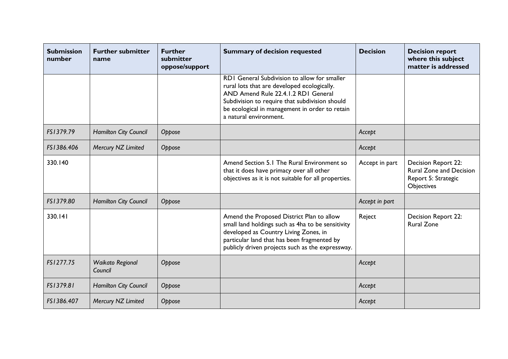| <b>Submission</b><br>number | <b>Further submitter</b><br>name | <b>Further</b><br>submitter<br>oppose/support | <b>Summary of decision requested</b>                                                                                                                                                                                                                                    | <b>Decision</b> | <b>Decision report</b><br>where this subject<br>matter is addressed                        |
|-----------------------------|----------------------------------|-----------------------------------------------|-------------------------------------------------------------------------------------------------------------------------------------------------------------------------------------------------------------------------------------------------------------------------|-----------------|--------------------------------------------------------------------------------------------|
|                             |                                  |                                               | <b>RDI</b> General Subdivision to allow for smaller<br>rural lots that are developed ecologically.<br>AND Amend Rule 22.4.1.2 RD1 General<br>Subdivision to require that subdivision should<br>be ecological in management in order to retain<br>a natural environment. |                 |                                                                                            |
| FS1379.79                   | <b>Hamilton City Council</b>     | Oppose                                        |                                                                                                                                                                                                                                                                         | Accept          |                                                                                            |
| FS1386.406                  | Mercury NZ Limited               | Oppose                                        |                                                                                                                                                                                                                                                                         | Accept          |                                                                                            |
| 330.140                     |                                  |                                               | Amend Section 5.1 The Rural Environment so<br>that it does have primacy over all other<br>objectives as it is not suitable for all properties.                                                                                                                          | Accept in part  | Decision Report 22:<br><b>Rural Zone and Decision</b><br>Report 5: Strategic<br>Objectives |
| FS1379.80                   | <b>Hamilton City Council</b>     | Oppose                                        |                                                                                                                                                                                                                                                                         | Accept in part  |                                                                                            |
| 330.141                     |                                  |                                               | Amend the Proposed District Plan to allow<br>small land holdings such as 4ha to be sensitivity<br>developed as Country Living Zones, in<br>particular land that has been fragmented by<br>publicly driven projects such as the expressway.                              | Reject          | <b>Decision Report 22:</b><br><b>Rural Zone</b>                                            |
| FS1277.75                   | Waikato Regional<br>Council      | Oppose                                        |                                                                                                                                                                                                                                                                         | Accept          |                                                                                            |
| FS1379.81                   | <b>Hamilton City Council</b>     | Oppose                                        |                                                                                                                                                                                                                                                                         | Accept          |                                                                                            |
| FS1386.407                  | Mercury NZ Limited               | Oppose                                        |                                                                                                                                                                                                                                                                         | Accept          |                                                                                            |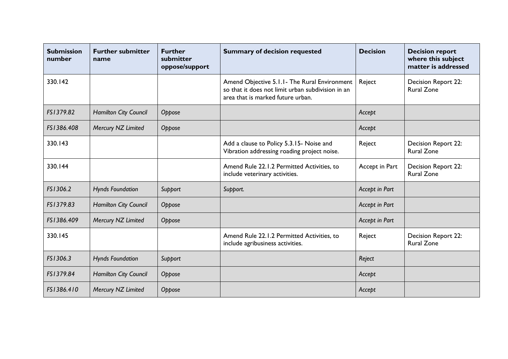| <b>Submission</b><br>number | <b>Further submitter</b><br>name | <b>Further</b><br>submitter<br>oppose/support | <b>Summary of decision requested</b>                                                                                                    | <b>Decision</b> | <b>Decision report</b><br>where this subject<br>matter is addressed |
|-----------------------------|----------------------------------|-----------------------------------------------|-----------------------------------------------------------------------------------------------------------------------------------------|-----------------|---------------------------------------------------------------------|
| 330.142                     |                                  |                                               | Amend Objective 5.1.1 - The Rural Environment<br>so that it does not limit urban subdivision in an<br>area that is marked future urban. | Reject          | <b>Decision Report 22:</b><br><b>Rural Zone</b>                     |
| FS1379.82                   | Hamilton City Council            | Oppose                                        |                                                                                                                                         | Accept          |                                                                     |
| FS1386.408                  | Mercury NZ Limited               | Oppose                                        |                                                                                                                                         | Accept          |                                                                     |
| 330.143                     |                                  |                                               | Add a clause to Policy 5.3.15- Noise and<br>Vibration addressing roading project noise.                                                 | Reject          | Decision Report 22:<br><b>Rural Zone</b>                            |
| 330.144                     |                                  |                                               | Amend Rule 22.1.2 Permitted Activities, to<br>include veterinary activities.                                                            | Accept in Part  | Decision Report 22:<br><b>Rural Zone</b>                            |
| FS1306.2                    | <b>Hynds Foundation</b>          | Support                                       | Support.                                                                                                                                | Accept in Part  |                                                                     |
| FS1379.83                   | <b>Hamilton City Council</b>     | Oppose                                        |                                                                                                                                         | Accept in Part  |                                                                     |
| FS1386.409                  | Mercury NZ Limited               | Oppose                                        |                                                                                                                                         | Accept in Part  |                                                                     |
| 330.145                     |                                  |                                               | Amend Rule 22.1.2 Permitted Activities, to<br>include agribusiness activities.                                                          | Reject          | <b>Decision Report 22:</b><br><b>Rural Zone</b>                     |
| FS1306.3                    | <b>Hynds Foundation</b>          | Support                                       |                                                                                                                                         | Reject          |                                                                     |
| FS1379.84                   | Hamilton City Council            | Oppose                                        |                                                                                                                                         | Accept          |                                                                     |
| FS1386.410                  | Mercury NZ Limited               | Oppose                                        |                                                                                                                                         | Accept          |                                                                     |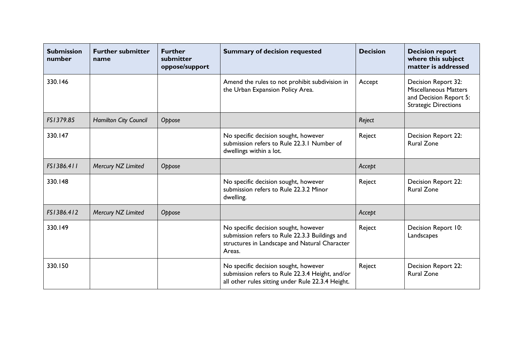| <b>Submission</b><br>number | <b>Further submitter</b><br>name | <b>Further</b><br>submitter<br>oppose/support | <b>Summary of decision requested</b>                                                                                                              | <b>Decision</b> | <b>Decision report</b><br>where this subject<br>matter is addressed                                          |
|-----------------------------|----------------------------------|-----------------------------------------------|---------------------------------------------------------------------------------------------------------------------------------------------------|-----------------|--------------------------------------------------------------------------------------------------------------|
| 330.146                     |                                  |                                               | Amend the rules to not prohibit subdivision in<br>the Urban Expansion Policy Area.                                                                | Accept          | Decision Report 32:<br><b>Miscellaneous Matters</b><br>and Decision Report 5:<br><b>Strategic Directions</b> |
| FS1379.85                   | Hamilton City Council            | Oppose                                        |                                                                                                                                                   | Reject          |                                                                                                              |
| 330.147                     |                                  |                                               | No specific decision sought, however<br>submission refers to Rule 22.3.1 Number of<br>dwellings within a lot.                                     | Reject          | <b>Decision Report 22:</b><br><b>Rural Zone</b>                                                              |
| FS1386.411                  | Mercury NZ Limited               | Oppose                                        |                                                                                                                                                   | Accept          |                                                                                                              |
| 330.148                     |                                  |                                               | No specific decision sought, however<br>submission refers to Rule 22.3.2 Minor<br>dwelling.                                                       | Reject          | <b>Decision Report 22:</b><br><b>Rural Zone</b>                                                              |
| FS1386.412                  | Mercury NZ Limited               | Oppose                                        |                                                                                                                                                   | Accept          |                                                                                                              |
| 330.149                     |                                  |                                               | No specific decision sought, however<br>submission refers to Rule 22.3.3 Buildings and<br>structures in Landscape and Natural Character<br>Areas. | Reject          | Decision Report 10:<br>Landscapes                                                                            |
| 330.150                     |                                  |                                               | No specific decision sought, however<br>submission refers to Rule 22.3.4 Height, and/or<br>all other rules sitting under Rule 22.3.4 Height.      | Reject          | Decision Report 22:<br><b>Rural Zone</b>                                                                     |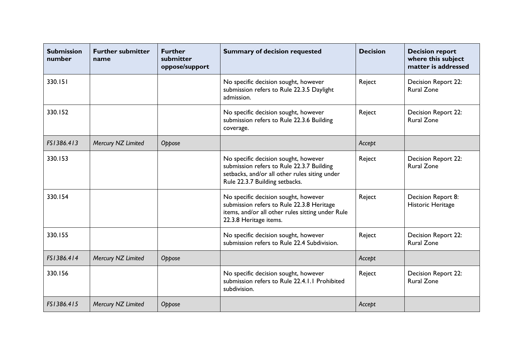| <b>Submission</b><br>number | <b>Further submitter</b><br>name | <b>Further</b><br>submitter<br>oppose/support | <b>Summary of decision requested</b>                                                                                                                                 | <b>Decision</b> | <b>Decision report</b><br>where this subject<br>matter is addressed |
|-----------------------------|----------------------------------|-----------------------------------------------|----------------------------------------------------------------------------------------------------------------------------------------------------------------------|-----------------|---------------------------------------------------------------------|
| 330.151                     |                                  |                                               | No specific decision sought, however<br>submission refers to Rule 22.3.5 Daylight<br>admission.                                                                      | Reject          | <b>Decision Report 22:</b><br><b>Rural Zone</b>                     |
| 330.152                     |                                  |                                               | No specific decision sought, however<br>submission refers to Rule 22.3.6 Building<br>coverage.                                                                       | Reject          | Decision Report 22:<br><b>Rural Zone</b>                            |
| FS1386.413                  | Mercury NZ Limited               | Oppose                                        |                                                                                                                                                                      | Accept          |                                                                     |
| 330.153                     |                                  |                                               | No specific decision sought, however<br>submission refers to Rule 22.3.7 Building<br>setbacks, and/or all other rules siting under<br>Rule 22.3.7 Building setbacks. | Reject          | Decision Report 22:<br><b>Rural Zone</b>                            |
| 330.154                     |                                  |                                               | No specific decision sought, however<br>submission refers to Rule 22.3.8 Heritage<br>items, and/or all other rules sitting under Rule<br>22.3.8 Heritage items.      | Reject          | Decision Report 8:<br>Historic Heritage                             |
| 330.155                     |                                  |                                               | No specific decision sought, however<br>submission refers to Rule 22.4 Subdivision.                                                                                  | Reject          | Decision Report 22:<br><b>Rural Zone</b>                            |
| FS1386.414                  | Mercury NZ Limited               | Oppose                                        |                                                                                                                                                                      | Accept          |                                                                     |
| 330.156                     |                                  |                                               | No specific decision sought, however<br>submission refers to Rule 22.4.1.1 Prohibited<br>subdivision.                                                                | Reject          | <b>Decision Report 22:</b><br><b>Rural Zone</b>                     |
| FS1386.415                  | Mercury NZ Limited               | Oppose                                        |                                                                                                                                                                      | Accept          |                                                                     |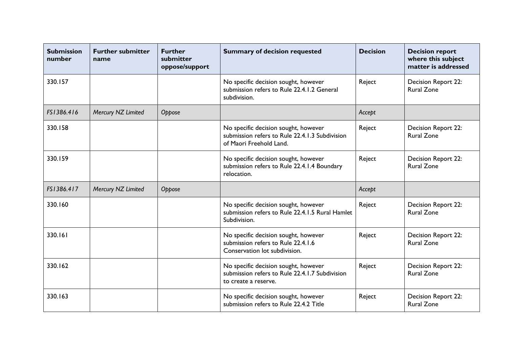| <b>Submission</b><br>number | <b>Further submitter</b><br>name | <b>Further</b><br>submitter<br>oppose/support | <b>Summary of decision requested</b>                                                                              | <b>Decision</b> | <b>Decision report</b><br>where this subject<br>matter is addressed |
|-----------------------------|----------------------------------|-----------------------------------------------|-------------------------------------------------------------------------------------------------------------------|-----------------|---------------------------------------------------------------------|
| 330.157                     |                                  |                                               | No specific decision sought, however<br>submission refers to Rule 22.4.1.2 General<br>subdivision.                | Reject          | Decision Report 22:<br><b>Rural Zone</b>                            |
| FS1386.416                  | Mercury NZ Limited               | Oppose                                        |                                                                                                                   | Accept          |                                                                     |
| 330.158                     |                                  |                                               | No specific decision sought, however<br>submission refers to Rule 22.4.1.3 Subdivision<br>of Maori Freehold Land. | Reject          | <b>Decision Report 22:</b><br><b>Rural Zone</b>                     |
| 330.159                     |                                  |                                               | No specific decision sought, however<br>submission refers to Rule 22.4.1.4 Boundary<br>relocation.                | Reject          | Decision Report 22:<br><b>Rural Zone</b>                            |
| FS1386.417                  | Mercury NZ Limited               | Oppose                                        |                                                                                                                   | Accept          |                                                                     |
| 330.160                     |                                  |                                               | No specific decision sought, however<br>submission refers to Rule 22.4.1.5 Rural Hamlet<br>Subdivision.           | Reject          | Decision Report 22:<br><b>Rural Zone</b>                            |
| 330.161                     |                                  |                                               | No specific decision sought, however<br>submission refers to Rule 22.4.1.6<br>Conservation lot subdivision.       | Reject          | Decision Report 22:<br><b>Rural Zone</b>                            |
| 330.162                     |                                  |                                               | No specific decision sought, however<br>submission refers to Rule 22.4.1.7 Subdivision<br>to create a reserve.    | Reject          | Decision Report 22:<br><b>Rural Zone</b>                            |
| 330.163                     |                                  |                                               | No specific decision sought, however<br>submission refers to Rule 22.4.2 Title                                    | Reject          | Decision Report 22:<br><b>Rural Zone</b>                            |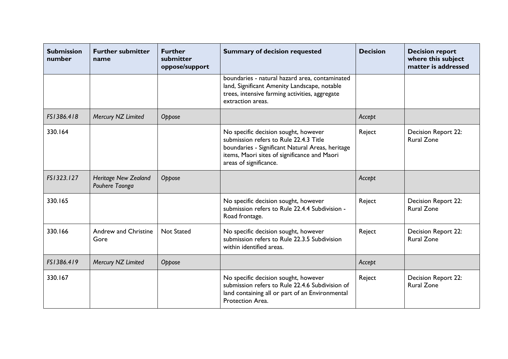| <b>Submission</b><br>number | <b>Further submitter</b><br>name              | <b>Further</b><br>submitter<br>oppose/support | <b>Summary of decision requested</b>                                                                                                                                                                         | <b>Decision</b> | <b>Decision report</b><br>where this subject<br>matter is addressed |
|-----------------------------|-----------------------------------------------|-----------------------------------------------|--------------------------------------------------------------------------------------------------------------------------------------------------------------------------------------------------------------|-----------------|---------------------------------------------------------------------|
|                             |                                               |                                               | boundaries - natural hazard area, contaminated<br>land, Significant Amenity Landscape, notable<br>trees, intensive farming activities, aggregate<br>extraction areas.                                        |                 |                                                                     |
| FS1386.418                  | Mercury NZ Limited                            | Oppose                                        |                                                                                                                                                                                                              | Accept          |                                                                     |
| 330.164                     |                                               |                                               | No specific decision sought, however<br>submission refers to Rule 22.4.3 Title<br>boundaries - Significant Natural Areas, heritage<br>items, Maori sites of significance and Maori<br>areas of significance. | Reject          | <b>Decision Report 22:</b><br><b>Rural Zone</b>                     |
| FS1323.127                  | <b>Heritage New Zealand</b><br>Pouhere Taonga | Oppose                                        |                                                                                                                                                                                                              | Accept          |                                                                     |
| 330.165                     |                                               |                                               | No specific decision sought, however<br>submission refers to Rule 22.4.4 Subdivision -<br>Road frontage.                                                                                                     | Reject          | <b>Decision Report 22:</b><br><b>Rural Zone</b>                     |
| 330.166                     | Andrew and Christine<br>Gore                  | <b>Not Stated</b>                             | No specific decision sought, however<br>submission refers to Rule 22.3.5 Subdivision<br>within identified areas.                                                                                             | Reject          | Decision Report 22:<br><b>Rural Zone</b>                            |
| FS1386.419                  | Mercury NZ Limited                            | Oppose                                        |                                                                                                                                                                                                              | Accept          |                                                                     |
| 330.167                     |                                               |                                               | No specific decision sought, however<br>submission refers to Rule 22.4.6 Subdivision of<br>land containing all or part of an Environmental<br>Protection Area.                                               | Reject          | Decision Report 22:<br><b>Rural Zone</b>                            |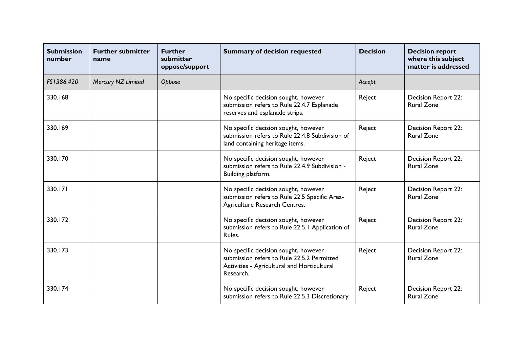| <b>Submission</b><br>number | <b>Further submitter</b><br>name | <b>Further</b><br>submitter<br>oppose/support | <b>Summary of decision requested</b>                                                                                                           | <b>Decision</b> | <b>Decision report</b><br>where this subject<br>matter is addressed |
|-----------------------------|----------------------------------|-----------------------------------------------|------------------------------------------------------------------------------------------------------------------------------------------------|-----------------|---------------------------------------------------------------------|
| FS1386.420                  | Mercury NZ Limited               | Oppose                                        |                                                                                                                                                | Accept          |                                                                     |
| 330.168                     |                                  |                                               | No specific decision sought, however<br>submission refers to Rule 22.4.7 Esplanade<br>reserves and esplanade strips.                           | Reject          | Decision Report 22:<br><b>Rural Zone</b>                            |
| 330.169                     |                                  |                                               | No specific decision sought, however<br>submission refers to Rule 22.4.8 Subdivision of<br>land containing heritage items.                     | Reject          | Decision Report 22:<br><b>Rural Zone</b>                            |
| 330.170                     |                                  |                                               | No specific decision sought, however<br>submission refers to Rule 22.4.9 Subdivision -<br>Building platform.                                   | Reject          | Decision Report 22:<br><b>Rural Zone</b>                            |
| 330.171                     |                                  |                                               | No specific decision sought, however<br>submission refers to Rule 22.5 Specific Area-<br>Agriculture Research Centres.                         | Reject          | Decision Report 22:<br><b>Rural Zone</b>                            |
| 330.172                     |                                  |                                               | No specific decision sought, however<br>submission refers to Rule 22.5.1 Application of<br>Rules.                                              | Reject          | <b>Decision Report 22:</b><br><b>Rural Zone</b>                     |
| 330.173                     |                                  |                                               | No specific decision sought, however<br>submission refers to Rule 22.5.2 Permitted<br>Activities - Agricultural and Horticultural<br>Research. | Reject          | Decision Report 22:<br><b>Rural Zone</b>                            |
| 330.174                     |                                  |                                               | No specific decision sought, however<br>submission refers to Rule 22.5.3 Discretionary                                                         | Reject          | <b>Decision Report 22:</b><br><b>Rural Zone</b>                     |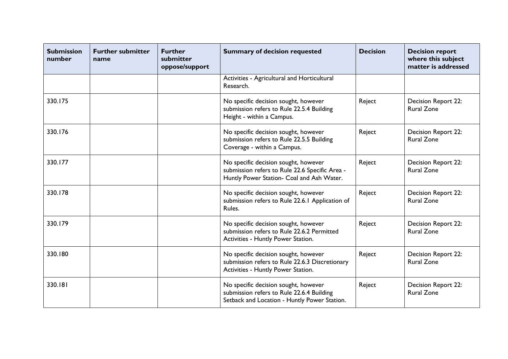| <b>Submission</b><br>number | <b>Further submitter</b><br>name | <b>Further</b><br>submitter<br>oppose/support | <b>Summary of decision requested</b>                                                                                                | <b>Decision</b> | <b>Decision report</b><br>where this subject<br>matter is addressed |
|-----------------------------|----------------------------------|-----------------------------------------------|-------------------------------------------------------------------------------------------------------------------------------------|-----------------|---------------------------------------------------------------------|
|                             |                                  |                                               | Activities - Agricultural and Horticultural<br>Research.                                                                            |                 |                                                                     |
| 330.175                     |                                  |                                               | No specific decision sought, however<br>submission refers to Rule 22.5.4 Building<br>Height - within a Campus.                      | Reject          | <b>Decision Report 22:</b><br><b>Rural Zone</b>                     |
| 330.176                     |                                  |                                               | No specific decision sought, however<br>submission refers to Rule 22.5.5 Building<br>Coverage - within a Campus.                    | Reject          | Decision Report 22:<br><b>Rural Zone</b>                            |
| 330.177                     |                                  |                                               | No specific decision sought, however<br>submission refers to Rule 22.6 Specific Area -<br>Huntly Power Station- Coal and Ash Water. | Reject          | Decision Report 22:<br><b>Rural Zone</b>                            |
| 330.178                     |                                  |                                               | No specific decision sought, however<br>submission refers to Rule 22.6.1 Application of<br>Rules.                                   | Reject          | <b>Decision Report 22:</b><br><b>Rural Zone</b>                     |
| 330.179                     |                                  |                                               | No specific decision sought, however<br>submission refers to Rule 22.6.2 Permitted<br>Activities - Huntly Power Station.            | Reject          | Decision Report 22:<br><b>Rural Zone</b>                            |
| 330.180                     |                                  |                                               | No specific decision sought, however<br>submission refers to Rule 22.6.3 Discretionary<br>Activities - Huntly Power Station.        | Reject          | Decision Report 22:<br><b>Rural Zone</b>                            |
| 330.181                     |                                  |                                               | No specific decision sought, however<br>submission refers to Rule 22.6.4 Building<br>Setback and Location - Huntly Power Station.   | Reject          | Decision Report 22:<br><b>Rural Zone</b>                            |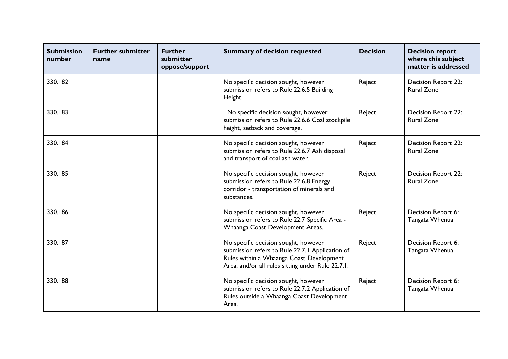| <b>Submission</b><br>number | <b>Further submitter</b><br>name | <b>Further</b><br>submitter<br>oppose/support | <b>Summary of decision requested</b>                                                                                                                                                     | <b>Decision</b> | <b>Decision report</b><br>where this subject<br>matter is addressed |
|-----------------------------|----------------------------------|-----------------------------------------------|------------------------------------------------------------------------------------------------------------------------------------------------------------------------------------------|-----------------|---------------------------------------------------------------------|
| 330.182                     |                                  |                                               | No specific decision sought, however<br>submission refers to Rule 22.6.5 Building<br>Height.                                                                                             | Reject          | Decision Report 22:<br><b>Rural Zone</b>                            |
| 330.183                     |                                  |                                               | No specific decision sought, however<br>submission refers to Rule 22.6.6 Coal stockpile<br>height, setback and coverage.                                                                 | Reject          | <b>Decision Report 22:</b><br><b>Rural Zone</b>                     |
| 330.184                     |                                  |                                               | No specific decision sought, however<br>submission refers to Rule 22.6.7 Ash disposal<br>and transport of coal ash water.                                                                | Reject          | Decision Report 22:<br><b>Rural Zone</b>                            |
| 330.185                     |                                  |                                               | No specific decision sought, however<br>submission refers to Rule 22.6.8 Energy<br>corridor - transportation of minerals and<br>substances.                                              | Reject          | Decision Report 22:<br><b>Rural Zone</b>                            |
| 330.186                     |                                  |                                               | No specific decision sought, however<br>submission refers to Rule 22.7 Specific Area -<br>Whaanga Coast Development Areas.                                                               | Reject          | Decision Report 6:<br>Tangata Whenua                                |
| 330.187                     |                                  |                                               | No specific decision sought, however<br>submission refers to Rule 22.7.1 Application of<br>Rules within a Whaanga Coast Development<br>Area, and/or all rules sitting under Rule 22.7.1. | Reject          | Decision Report 6:<br>Tangata Whenua                                |
| 330.188                     |                                  |                                               | No specific decision sought, however<br>submission refers to Rule 22.7.2 Application of<br>Rules outside a Whaanga Coast Development<br>Area.                                            | Reject          | Decision Report 6:<br>Tangata Whenua                                |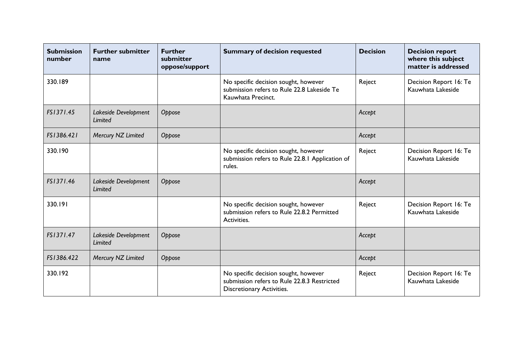| <b>Submission</b><br>number | <b>Further submitter</b><br>name | <b>Further</b><br>submitter<br>oppose/support | <b>Summary of decision requested</b>                                                                             | <b>Decision</b> | <b>Decision report</b><br>where this subject<br>matter is addressed |
|-----------------------------|----------------------------------|-----------------------------------------------|------------------------------------------------------------------------------------------------------------------|-----------------|---------------------------------------------------------------------|
| 330.189                     |                                  |                                               | No specific decision sought, however<br>submission refers to Rule 22.8 Lakeside Te<br>Kauwhata Precinct.         | Reject          | Decision Report 16: Te<br>Kauwhata Lakeside                         |
| FS1371.45                   | Lakeside Development<br>Limited  | Oppose                                        |                                                                                                                  | Accept          |                                                                     |
| FS1386.421                  | Mercury NZ Limited               | Oppose                                        |                                                                                                                  | Accept          |                                                                     |
| 330.190                     |                                  |                                               | No specific decision sought, however<br>submission refers to Rule 22.8.1 Application of<br>rules.                | Reject          | Decision Report 16: Te<br>Kauwhata Lakeside                         |
| FS1371.46                   | Lakeside Development<br>Limited  | Oppose                                        |                                                                                                                  | Accept          |                                                                     |
| 330.191                     |                                  |                                               | No specific decision sought, however<br>submission refers to Rule 22.8.2 Permitted<br>Activities.                | Reject          | Decision Report 16: Te<br>Kauwhata Lakeside                         |
| FS1371.47                   | Lakeside Development<br>Limited  | Oppose                                        |                                                                                                                  | Accept          |                                                                     |
| FS1386.422                  | Mercury NZ Limited               | Oppose                                        |                                                                                                                  | Accept          |                                                                     |
| 330.192                     |                                  |                                               | No specific decision sought, however<br>submission refers to Rule 22.8.3 Restricted<br>Discretionary Activities. | Reject          | Decision Report 16: Te<br>Kauwhata Lakeside                         |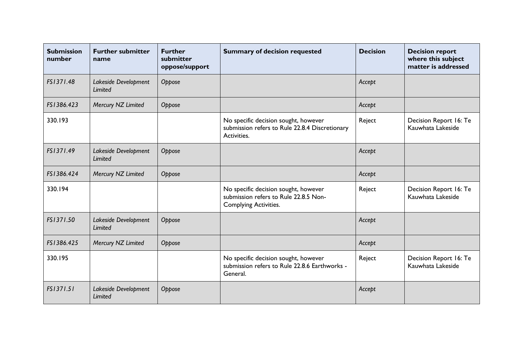| <b>Submission</b><br>number | <b>Further submitter</b><br>name       | <b>Further</b><br>submitter<br>oppose/support | <b>Summary of decision requested</b>                                                                          | <b>Decision</b> | <b>Decision report</b><br>where this subject<br>matter is addressed |
|-----------------------------|----------------------------------------|-----------------------------------------------|---------------------------------------------------------------------------------------------------------------|-----------------|---------------------------------------------------------------------|
| FS1371.48                   | Lakeside Development<br>Limited        | Oppose                                        |                                                                                                               | Accept          |                                                                     |
| FS1386.423                  | Mercury NZ Limited                     | Oppose                                        |                                                                                                               | Accept          |                                                                     |
| 330.193                     |                                        |                                               | No specific decision sought, however<br>submission refers to Rule 22.8.4 Discretionary<br>Activities.         | Reject          | Decision Report 16: Te<br>Kauwhata Lakeside                         |
| FS1371.49                   | Lakeside Development<br><b>Limited</b> | Oppose                                        |                                                                                                               | Accept          |                                                                     |
| FS1386.424                  | Mercury NZ Limited                     | Oppose                                        |                                                                                                               | Accept          |                                                                     |
| 330.194                     |                                        |                                               | No specific decision sought, however<br>submission refers to Rule 22.8.5 Non-<br><b>Complying Activities.</b> | Reject          | Decision Report 16: Te<br>Kauwhata Lakeside                         |
| FS1371.50                   | Lakeside Development<br>Limited        | Oppose                                        |                                                                                                               | Accept          |                                                                     |
| FS1386.425                  | Mercury NZ Limited                     | Oppose                                        |                                                                                                               | Accept          |                                                                     |
| 330.195                     |                                        |                                               | No specific decision sought, however<br>submission refers to Rule 22.8.6 Earthworks -<br>General.             | Reject          | Decision Report 16: Te<br>Kauwhata Lakeside                         |
| FS1371.51                   | Lakeside Development<br>Limited        | Oppose                                        |                                                                                                               | Accept          |                                                                     |